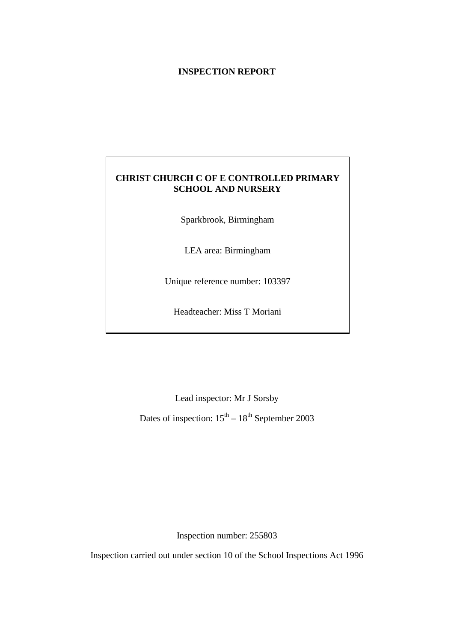#### **INSPECTION REPORT**

## **CHRIST CHURCH C OF E CONTROLLED PRIMARY SCHOOL AND NURSERY**

Sparkbrook, Birmingham

LEA area: Birmingham

Unique reference number: 103397

Headteacher: Miss T Moriani

Lead inspector: Mr J Sorsby

Dates of inspection:  $15<sup>th</sup> - 18<sup>th</sup>$  September 2003

Inspection number: 255803

Inspection carried out under section 10 of the School Inspections Act 1996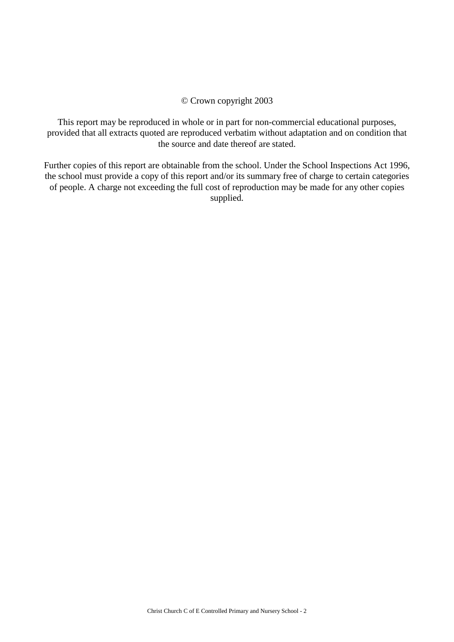#### © Crown copyright 2003

This report may be reproduced in whole or in part for non-commercial educational purposes, provided that all extracts quoted are reproduced verbatim without adaptation and on condition that the source and date thereof are stated.

Further copies of this report are obtainable from the school. Under the School Inspections Act 1996, the school must provide a copy of this report and/or its summary free of charge to certain categories of people. A charge not exceeding the full cost of reproduction may be made for any other copies supplied.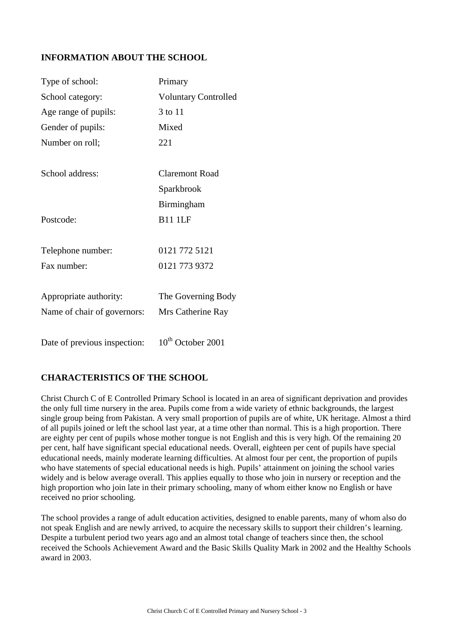## **INFORMATION ABOUT THE SCHOOL**

| Type of school:              | Primary                     |
|------------------------------|-----------------------------|
| School category:             | <b>Voluntary Controlled</b> |
| Age range of pupils:         | 3 to 11                     |
| Gender of pupils:            | Mixed                       |
| Number on roll;              | 221                         |
|                              |                             |
| School address:              | <b>Claremont Road</b>       |
|                              | Sparkbrook                  |
|                              | Birmingham                  |
| Postcode:                    | <b>B11 1LF</b>              |
|                              |                             |
| Telephone number:            | 0121 772 5121               |
| Fax number:                  | 0121 773 9372               |
| Appropriate authority:       | The Governing Body          |
| Name of chair of governors:  | Mrs Catherine Ray           |
|                              |                             |
| Date of previous inspection: | $10th$ October 2001         |

## **CHARACTERISTICS OF THE SCHOOL**

Christ Church C of E Controlled Primary School is located in an area of significant deprivation and provides the only full time nursery in the area. Pupils come from a wide variety of ethnic backgrounds, the largest single group being from Pakistan. A very small proportion of pupils are of white, UK heritage. Almost a third of all pupils joined or left the school last year, at a time other than normal. This is a high proportion. There are eighty per cent of pupils whose mother tongue is not English and this is very high. Of the remaining 20 per cent, half have significant special educational needs. Overall, eighteen per cent of pupils have special educational needs, mainly moderate learning difficulties. At almost four per cent, the proportion of pupils who have statements of special educational needs is high. Pupils' attainment on joining the school varies widely and is below average overall. This applies equally to those who join in nursery or reception and the high proportion who join late in their primary schooling, many of whom either know no English or have received no prior schooling.

The school provides a range of adult education activities, designed to enable parents, many of whom also do not speak English and are newly arrived, to acquire the necessary skills to support their children's learning. Despite a turbulent period two years ago and an almost total change of teachers since then, the school received the Schools Achievement Award and the Basic Skills Quality Mark in 2002 and the Healthy Schools award in 2003.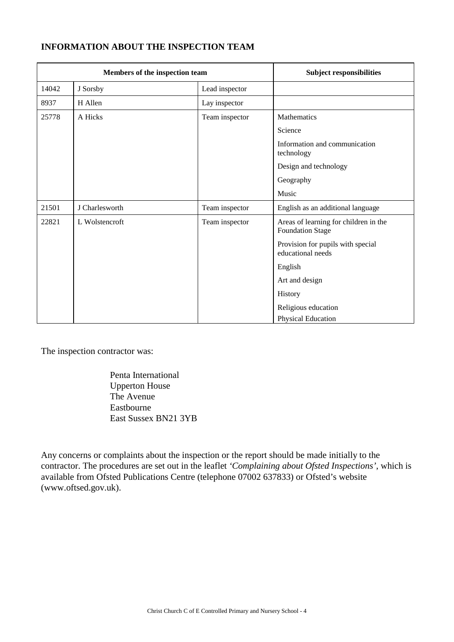## **INFORMATION ABOUT THE INSPECTION TEAM**

| Members of the inspection team |                |                | <b>Subject responsibilities</b>                                  |
|--------------------------------|----------------|----------------|------------------------------------------------------------------|
| 14042                          | J Sorsby       | Lead inspector |                                                                  |
| 8937                           | H Allen        | Lay inspector  |                                                                  |
| 25778                          | A Hicks        | Team inspector | Mathematics                                                      |
|                                |                |                | Science                                                          |
|                                |                |                | Information and communication<br>technology                      |
|                                |                |                | Design and technology                                            |
|                                |                |                | Geography                                                        |
|                                |                |                | Music                                                            |
| 21501                          | J Charlesworth | Team inspector | English as an additional language                                |
| 22821                          | L Wolstencroft | Team inspector | Areas of learning for children in the<br><b>Foundation Stage</b> |
|                                |                |                | Provision for pupils with special<br>educational needs           |
|                                |                |                | English                                                          |
|                                |                |                | Art and design                                                   |
|                                |                |                | History                                                          |
|                                |                |                | Religious education                                              |
|                                |                |                | Physical Education                                               |

The inspection contractor was:

Penta International Upperton House The Avenue Eastbourne East Sussex BN21 3YB

Any concerns or complaints about the inspection or the report should be made initially to the contractor. The procedures are set out in the leaflet *'Complaining about Ofsted Inspections'*, which is available from Ofsted Publications Centre (telephone 07002 637833) or Ofsted's website (www.oftsed.gov.uk).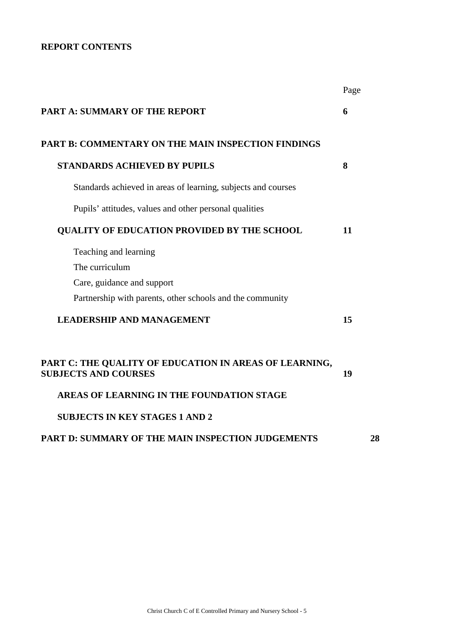## **REPORT CONTENTS**

|                                                                                       | Page |
|---------------------------------------------------------------------------------------|------|
| <b>PART A: SUMMARY OF THE REPORT</b>                                                  | 6    |
| PART B: COMMENTARY ON THE MAIN INSPECTION FINDINGS                                    |      |
| <b>STANDARDS ACHIEVED BY PUPILS</b>                                                   | 8    |
| Standards achieved in areas of learning, subjects and courses                         |      |
| Pupils' attitudes, values and other personal qualities                                |      |
| <b>QUALITY OF EDUCATION PROVIDED BY THE SCHOOL</b>                                    | 11   |
| Teaching and learning                                                                 |      |
| The curriculum                                                                        |      |
| Care, guidance and support                                                            |      |
| Partnership with parents, other schools and the community                             |      |
| <b>LEADERSHIP AND MANAGEMENT</b>                                                      | 15   |
| PART C: THE QUALITY OF EDUCATION IN AREAS OF LEARNING,<br><b>SUBJECTS AND COURSES</b> | 19   |
| AREAS OF LEARNING IN THE FOUNDATION STAGE                                             |      |
| <b>SUBJECTS IN KEY STAGES 1 AND 2</b>                                                 |      |
| <b>PART D: SUMMARY OF THE MAIN INSPECTION JUDGEMENTS</b>                              | 28   |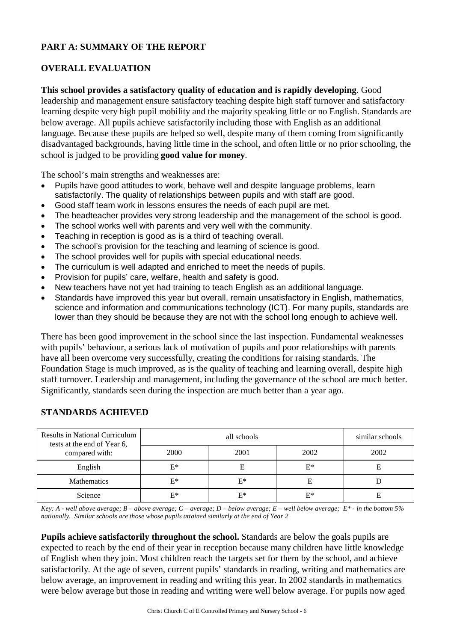## **PART A: SUMMARY OF THE REPORT**

## **OVERALL EVALUATION**

## **This school provides a satisfactory quality of education and is rapidly developing**. Good

leadership and management ensure satisfactory teaching despite high staff turnover and satisfactory learning despite very high pupil mobility and the majority speaking little or no English. Standards are below average. All pupils achieve satisfactorily including those with English as an additional language. Because these pupils are helped so well, despite many of them coming from significantly disadvantaged backgrounds, having little time in the school, and often little or no prior schooling, the school is judged to be providing **good value for money**.

The school's main strengths and weaknesses are:

- Pupils have good attitudes to work, behave well and despite language problems, learn satisfactorily. The quality of relationships between pupils and with staff are good.
- Good staff team work in lessons ensures the needs of each pupil are met.
- The headteacher provides very strong leadership and the management of the school is good.
- The school works well with parents and very well with the community.
- Teaching in reception is good as is a third of teaching overall.
- The school's provision for the teaching and learning of science is good.
- The school provides well for pupils with special educational needs.
- The curriculum is well adapted and enriched to meet the needs of pupils.
- Provision for pupils' care, welfare, health and safety is good.
- New teachers have not yet had training to teach English as an additional language.
- Standards have improved this year but overall, remain unsatisfactory in English, mathematics, science and information and communications technology (ICT). For many pupils, standards are lower than they should be because they are not with the school long enough to achieve well.

There has been good improvement in the school since the last inspection. Fundamental weaknesses with pupils' behaviour, a serious lack of motivation of pupils and poor relationships with parents have all been overcome very successfully, creating the conditions for raising standards. The Foundation Stage is much improved, as is the quality of teaching and learning overall, despite high staff turnover. Leadership and management, including the governance of the school are much better. Significantly, standards seen during the inspection are much better than a year ago.

| Results in National Curriculum<br>tests at the end of Year 6, |       | similar schools |       |      |
|---------------------------------------------------------------|-------|-----------------|-------|------|
| compared with:                                                | 2000  | 2001            | 2002  | 2002 |
| English                                                       | $E^*$ |                 | $E^*$ |      |
| <b>Mathematics</b>                                            | $E^*$ | $E^*$           | Е     |      |
| Science                                                       | F*    | $E^*$           | $E^*$ |      |

#### **STANDARDS ACHIEVED**

*Key: A - well above average; B – above average; C – average; D – below average; E – well below average; E\* - in the bottom 5% nationally. Similar schools are those whose pupils attained similarly at the end of Year 2*

**Pupils achieve satisfactorily throughout the school.** Standards are below the goals pupils are expected to reach by the end of their year in reception because many children have little knowledge of English when they join. Most children reach the targets set for them by the school, and achieve satisfactorily. At the age of seven, current pupils' standards in reading, writing and mathematics are below average, an improvement in reading and writing this year. In 2002 standards in mathematics were below average but those in reading and writing were well below average. For pupils now aged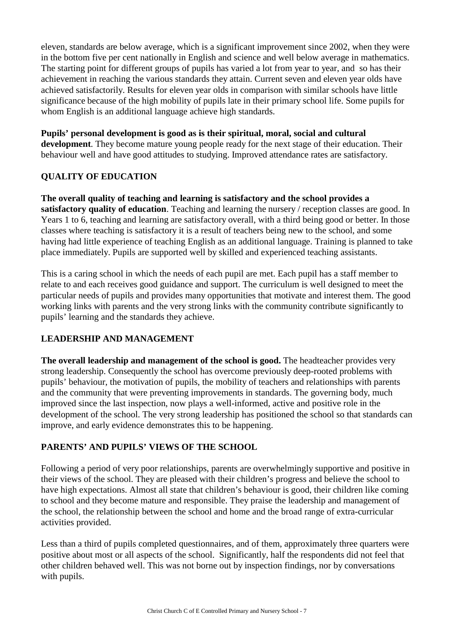eleven, standards are below average, which is a significant improvement since 2002, when they were in the bottom five per cent nationally in English and science and well below average in mathematics. The starting point for different groups of pupils has varied a lot from year to year, and so has their achievement in reaching the various standards they attain. Current seven and eleven year olds have achieved satisfactorily. Results for eleven year olds in comparison with similar schools have little significance because of the high mobility of pupils late in their primary school life. Some pupils for whom English is an additional language achieve high standards.

#### **Pupils' personal development is good as is their spiritual, moral, social and cultural**

**development**. They become mature young people ready for the next stage of their education. Their behaviour well and have good attitudes to studying. Improved attendance rates are satisfactory.

#### **QUALITY OF EDUCATION**

**The overall quality of teaching and learning is satisfactory and the school provides a satisfactory quality of education**. Teaching and learning the nursery / reception classes are good. In Years 1 to 6, teaching and learning are satisfactory overall, with a third being good or better. In those classes where teaching is satisfactory it is a result of teachers being new to the school, and some having had little experience of teaching English as an additional language. Training is planned to take place immediately. Pupils are supported well by skilled and experienced teaching assistants.

This is a caring school in which the needs of each pupil are met. Each pupil has a staff member to relate to and each receives good guidance and support. The curriculum is well designed to meet the particular needs of pupils and provides many opportunities that motivate and interest them. The good working links with parents and the very strong links with the community contribute significantly to pupils' learning and the standards they achieve.

## **LEADERSHIP AND MANAGEMENT**

**The overall leadership and management of the school is good.** The headteacher provides very strong leadership. Consequently the school has overcome previously deep-rooted problems with pupils' behaviour, the motivation of pupils, the mobility of teachers and relationships with parents and the community that were preventing improvements in standards. The governing body, much improved since the last inspection, now plays a well-informed, active and positive role in the development of the school. The very strong leadership has positioned the school so that standards can improve, and early evidence demonstrates this to be happening.

#### **PARENTS' AND PUPILS' VIEWS OF THE SCHOOL**

Following a period of very poor relationships, parents are overwhelmingly supportive and positive in their views of the school. They are pleased with their children's progress and believe the school to have high expectations. Almost all state that children's behaviour is good, their children like coming to school and they become mature and responsible. They praise the leadership and management of the school, the relationship between the school and home and the broad range of extra-curricular activities provided.

Less than a third of pupils completed questionnaires, and of them, approximately three quarters were positive about most or all aspects of the school. Significantly, half the respondents did not feel that other children behaved well. This was not borne out by inspection findings, nor by conversations with pupils.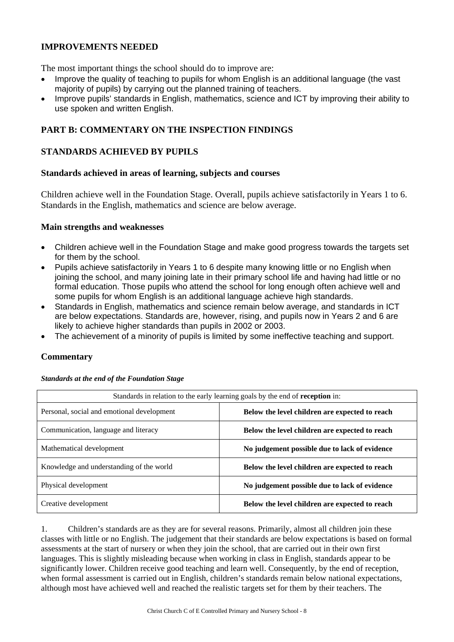## **IMPROVEMENTS NEEDED**

The most important things the school should do to improve are:

- Improve the quality of teaching to pupils for whom English is an additional language (the vast majority of pupils) by carrying out the planned training of teachers.
- Improve pupils' standards in English, mathematics, science and ICT by improving their ability to use spoken and written English.

## **PART B: COMMENTARY ON THE INSPECTION FINDINGS**

#### **STANDARDS ACHIEVED BY PUPILS**

#### **Standards achieved in areas of learning, subjects and courses**

Children achieve well in the Foundation Stage. Overall, pupils achieve satisfactorily in Years 1 to 6. Standards in the English, mathematics and science are below average.

#### **Main strengths and weaknesses**

- Children achieve well in the Foundation Stage and make good progress towards the targets set for them by the school.
- Pupils achieve satisfactorily in Years 1 to 6 despite many knowing little or no English when joining the school, and many joining late in their primary school life and having had little or no formal education. Those pupils who attend the school for long enough often achieve well and some pupils for whom English is an additional language achieve high standards.
- Standards in English, mathematics and science remain below average, and standards in ICT are below expectations. Standards are, however, rising, and pupils now in Years 2 and 6 are likely to achieve higher standards than pupils in 2002 or 2003.
- The achievement of a minority of pupils is limited by some ineffective teaching and support.

#### **Commentary**

| Standards in relation to the early learning goals by the end of reception in:                |                                                |  |  |  |
|----------------------------------------------------------------------------------------------|------------------------------------------------|--|--|--|
| Personal, social and emotional development<br>Below the level children are expected to reach |                                                |  |  |  |
| Communication, language and literacy                                                         | Below the level children are expected to reach |  |  |  |
| Mathematical development                                                                     | No judgement possible due to lack of evidence  |  |  |  |
| Knowledge and understanding of the world                                                     | Below the level children are expected to reach |  |  |  |
| Physical development                                                                         | No judgement possible due to lack of evidence  |  |  |  |
| Creative development                                                                         | Below the level children are expected to reach |  |  |  |

*Standards at the end of the Foundation Stage*

1. Children's standards are as they are for several reasons. Primarily, almost all children join these classes with little or no English. The judgement that their standards are below expectations is based on formal assessments at the start of nursery or when they join the school, that are carried out in their own first languages. This is slightly misleading because when working in class in English, standards appear to be significantly lower. Children receive good teaching and learn well. Consequently, by the end of reception, when formal assessment is carried out in English, children's standards remain below national expectations, although most have achieved well and reached the realistic targets set for them by their teachers. The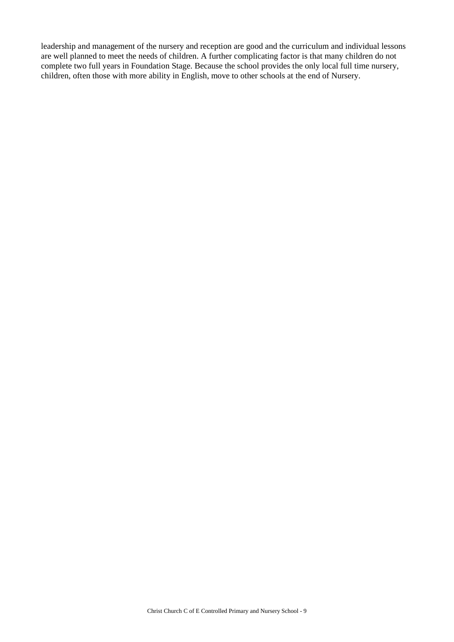leadership and management of the nursery and reception are good and the curriculum and individual lessons are well planned to meet the needs of children. A further complicating factor is that many children do not complete two full years in Foundation Stage. Because the school provides the only local full time nursery, children, often those with more ability in English, move to other schools at the end of Nursery.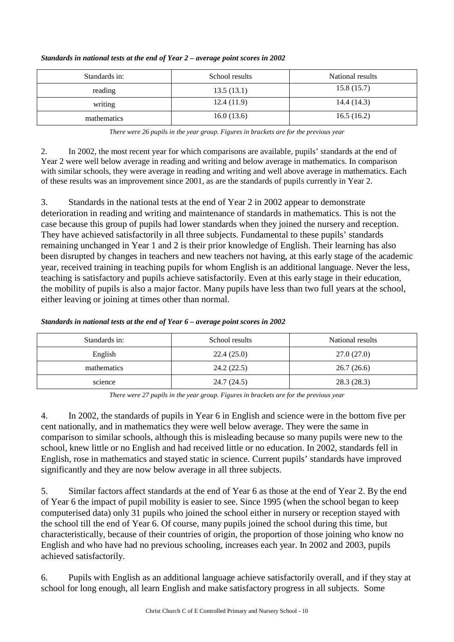| Standards in: | School results | National results |
|---------------|----------------|------------------|
| reading       | 13.5(13.1)     | 15.8(15.7)       |
| writing       | 12.4(11.9)     | 14.4(14.3)       |
| mathematics   | 16.0(13.6)     | 16.5(16.2)       |

#### *Standards in national tests at the end of Year 2 – average point scores in 2002*

*There were 26 pupils in the year group. Figures in brackets are for the previous year* 

2. In 2002, the most recent year for which comparisons are available, pupils' standards at the end of Year 2 were well below average in reading and writing and below average in mathematics. In comparison with similar schools, they were average in reading and writing and well above average in mathematics. Each of these results was an improvement since 2001, as are the standards of pupils currently in Year 2.

3. Standards in the national tests at the end of Year 2 in 2002 appear to demonstrate deterioration in reading and writing and maintenance of standards in mathematics. This is not the case because this group of pupils had lower standards when they joined the nursery and reception. They have achieved satisfactorily in all three subjects. Fundamental to these pupils' standards remaining unchanged in Year 1 and 2 is their prior knowledge of English. Their learning has also been disrupted by changes in teachers and new teachers not having, at this early stage of the academic year, received training in teaching pupils for whom English is an additional language. Never the less, teaching is satisfactory and pupils achieve satisfactorily. Even at this early stage in their education, the mobility of pupils is also a major factor. Many pupils have less than two full years at the school, either leaving or joining at times other than normal.

| Standards in national tests at the end of Year 6 – average point scores in 2002 |  |
|---------------------------------------------------------------------------------|--|
|                                                                                 |  |

| Standards in: | School results | National results |
|---------------|----------------|------------------|
| English       | 22.4(25.0)     | 27.0 (27.0)      |
| mathematics   | 24.2(22.5)     | 26.7(26.6)       |
| science       | 24.7 (24.5)    | 28.3(28.3)       |

*There were 27 pupils in the year group. Figures in brackets are for the previous year*

4. In 2002, the standards of pupils in Year 6 in English and science were in the bottom five per cent nationally, and in mathematics they were well below average. They were the same in comparison to similar schools, although this is misleading because so many pupils were new to the school, knew little or no English and had received little or no education. In 2002, standards fell in English, rose in mathematics and stayed static in science. Current pupils' standards have improved significantly and they are now below average in all three subjects.

5. Similar factors affect standards at the end of Year 6 as those at the end of Year 2. By the end of Year 6 the impact of pupil mobility is easier to see. Since 1995 (when the school began to keep computerised data) only 31 pupils who joined the school either in nursery or reception stayed with the school till the end of Year 6. Of course, many pupils joined the school during this time, but characteristically, because of their countries of origin, the proportion of those joining who know no English and who have had no previous schooling, increases each year. In 2002 and 2003, pupils achieved satisfactorily.

6. Pupils with English as an additional language achieve satisfactorily overall, and if they stay at school for long enough, all learn English and make satisfactory progress in all subjects. Some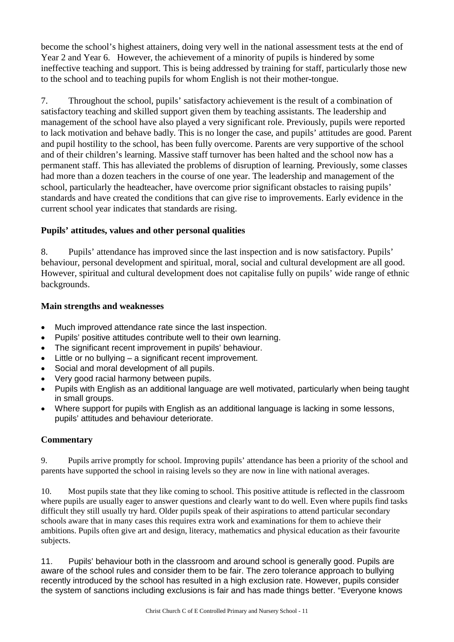become the school's highest attainers, doing very well in the national assessment tests at the end of Year 2 and Year 6. However, the achievement of a minority of pupils is hindered by some ineffective teaching and support. This is being addressed by training for staff, particularly those new to the school and to teaching pupils for whom English is not their mother-tongue.

7. Throughout the school, pupils' satisfactory achievement is the result of a combination of satisfactory teaching and skilled support given them by teaching assistants. The leadership and management of the school have also played a very significant role. Previously, pupils were reported to lack motivation and behave badly. This is no longer the case, and pupils' attitudes are good. Parent and pupil hostility to the school, has been fully overcome. Parents are very supportive of the school and of their children's learning. Massive staff turnover has been halted and the school now has a permanent staff. This has alleviated the problems of disruption of learning. Previously, some classes had more than a dozen teachers in the course of one year. The leadership and management of the school, particularly the headteacher, have overcome prior significant obstacles to raising pupils' standards and have created the conditions that can give rise to improvements. Early evidence in the current school year indicates that standards are rising.

## **Pupils' attitudes, values and other personal qualities**

8. Pupils' attendance has improved since the last inspection and is now satisfactory. Pupils' behaviour, personal development and spiritual, moral, social and cultural development are all good. However, spiritual and cultural development does not capitalise fully on pupils' wide range of ethnic backgrounds.

#### **Main strengths and weaknesses**

- Much improved attendance rate since the last inspection.
- Pupils' positive attitudes contribute well to their own learning.
- The significant recent improvement in pupils' behaviour.
- Little or no bullying a significant recent improvement.
- Social and moral development of all pupils.
- Very good racial harmony between pupils.
- Pupils with English as an additional language are well motivated, particularly when being taught in small groups.
- Where support for pupils with English as an additional language is lacking in some lessons, pupils' attitudes and behaviour deteriorate.

#### **Commentary**

9. Pupils arrive promptly for school. Improving pupils' attendance has been a priority of the school and parents have supported the school in raising levels so they are now in line with national averages.

10. Most pupils state that they like coming to school. This positive attitude is reflected in the classroom where pupils are usually eager to answer questions and clearly want to do well. Even where pupils find tasks difficult they still usually try hard. Older pupils speak of their aspirations to attend particular secondary schools aware that in many cases this requires extra work and examinations for them to achieve their ambitions. Pupils often give art and design, literacy, mathematics and physical education as their favourite subjects.

11. Pupils' behaviour both in the classroom and around school is generally good. Pupils are aware of the school rules and consider them to be fair. The zero tolerance approach to bullying recently introduced by the school has resulted in a high exclusion rate. However, pupils consider the system of sanctions including exclusions is fair and has made things better. "Everyone knows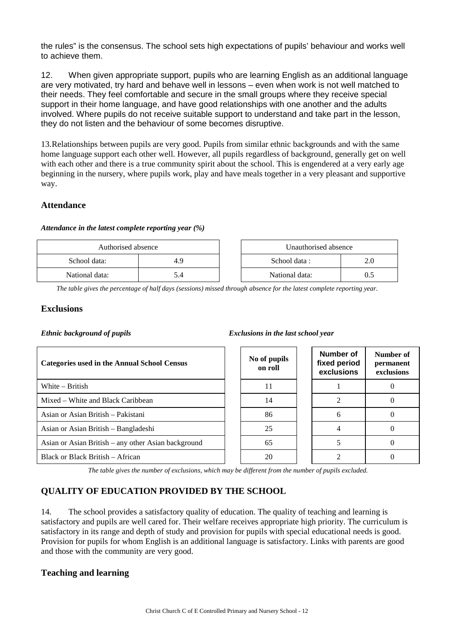the rules" is the consensus. The school sets high expectations of pupils' behaviour and works well to achieve them.

12. When given appropriate support, pupils who are learning English as an additional language are very motivated, try hard and behave well in lessons – even when work is not well matched to their needs. They feel comfortable and secure in the small groups where they receive special support in their home language, and have good relationships with one another and the adults involved. Where pupils do not receive suitable support to understand and take part in the lesson, they do not listen and the behaviour of some becomes disruptive.

13.Relationships between pupils are very good. Pupils from similar ethnic backgrounds and with the same home language support each other well. However, all pupils regardless of background, generally get on well with each other and there is a true community spirit about the school. This is engendered at a very early age beginning in the nursery, where pupils work, play and have meals together in a very pleasant and supportive way.

#### **Attendance**

#### *Attendance in the latest complete reporting year (%)*

| Authorised absence |     | Unauthorised absence |  |
|--------------------|-----|----------------------|--|
| School data:       | 4.9 | School data :        |  |
| National data:     |     | National data:       |  |

*The table gives the percentage of half days (sessions) missed through absence for the latest complete reporting year.*

#### **Exclusions**

#### *Ethnic background of pupils Exclusions in the last school year*

| <b>Categories used in the Annual School Census</b>  | No of pupils<br>on roll | Number of<br>fixed period<br>exclusions | Number of<br>permanent<br>exclusions |
|-----------------------------------------------------|-------------------------|-----------------------------------------|--------------------------------------|
| White $-$ British                                   | 11                      |                                         |                                      |
| Mixed – White and Black Caribbean                   | 14                      |                                         |                                      |
| Asian or Asian British – Pakistani                  | 86                      | 6                                       |                                      |
| Asian or Asian British – Bangladeshi                | 25                      |                                         |                                      |
| Asian or Asian British – any other Asian background | 65                      |                                         |                                      |
| Black or Black British – African                    | 20                      |                                         |                                      |

*The table gives the number of exclusions, which may be different from the number of pupils excluded.*

## **QUALITY OF EDUCATION PROVIDED BY THE SCHOOL**

14. The school provides a satisfactory quality of education. The quality of teaching and learning is satisfactory and pupils are well cared for. Their welfare receives appropriate high priority. The curriculum is satisfactory in its range and depth of study and provision for pupils with special educational needs is good. Provision for pupils for whom English is an additional language is satisfactory. Links with parents are good and those with the community are very good.

#### **Teaching and learning**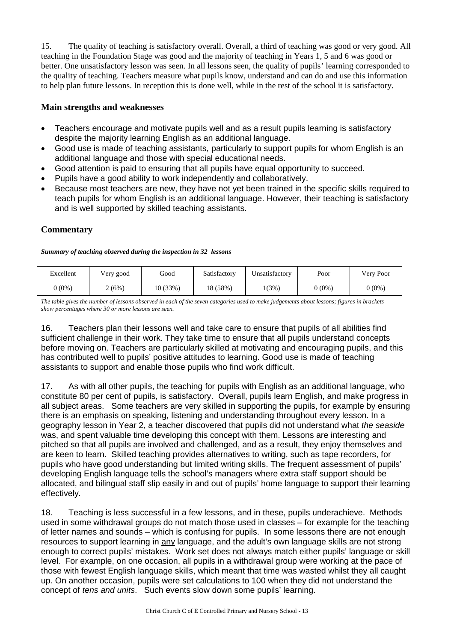15. The quality of teaching is satisfactory overall. Overall, a third of teaching was good or very good. All teaching in the Foundation Stage was good and the majority of teaching in Years 1, 5 and 6 was good or better. One unsatisfactory lesson was seen. In all lessons seen, the quality of pupils' learning corresponded to the quality of teaching. Teachers measure what pupils know, understand and can do and use this information to help plan future lessons. In reception this is done well, while in the rest of the school it is satisfactory.

#### **Main strengths and weaknesses**

- Teachers encourage and motivate pupils well and as a result pupils learning is satisfactory despite the majority learning English as an additional language.
- Good use is made of teaching assistants, particularly to support pupils for whom English is an additional language and those with special educational needs.
- Good attention is paid to ensuring that all pupils have equal opportunity to succeed.
- Pupils have a good ability to work independently and collaboratively.
- Because most teachers are new, they have not yet been trained in the specific skills required to teach pupils for whom English is an additional language. However, their teaching is satisfactory and is well supported by skilled teaching assistants.

#### **Commentary**

#### *Summary of teaching observed during the inspection in 32 lessons*

| Excellent | Very good | Good    | Satisfactory | Unsatisfactory | Poor     | Very Poor |
|-----------|-----------|---------|--------------|----------------|----------|-----------|
| $0(0\%)$  | 2(6%)     | 10(33%) | 18 (58%)     | 1(3%)          | $0(0\%)$ | $0(0\%)$  |

*The table gives the number of lessons observed in each of the seven categories used to make judgements about lessons; figures in brackets show percentages where 30 or more lessons are seen.*

16. Teachers plan their lessons well and take care to ensure that pupils of all abilities find sufficient challenge in their work. They take time to ensure that all pupils understand concepts before moving on. Teachers are particularly skilled at motivating and encouraging pupils, and this has contributed well to pupils' positive attitudes to learning. Good use is made of teaching assistants to support and enable those pupils who find work difficult.

17. As with all other pupils, the teaching for pupils with English as an additional language, who constitute 80 per cent of pupils, is satisfactory. Overall, pupils learn English, and make progress in all subject areas. Some teachers are very skilled in supporting the pupils, for example by ensuring there is an emphasis on speaking, listening and understanding throughout every lesson. In a geography lesson in Year 2, a teacher discovered that pupils did not understand what *the seaside* was, and spent valuable time developing this concept with them. Lessons are interesting and pitched so that all pupils are involved and challenged, and as a result, they enjoy themselves and are keen to learn. Skilled teaching provides alternatives to writing, such as tape recorders, for pupils who have good understanding but limited writing skills. The frequent assessment of pupils' developing English language tells the school's managers where extra staff support should be allocated, and bilingual staff slip easily in and out of pupils' home language to support their learning effectively.

18. Teaching is less successful in a few lessons, and in these, pupils underachieve. Methods used in some withdrawal groups do not match those used in classes – for example for the teaching of letter names and sounds – which is confusing for pupils. In some lessons there are not enough resources to support learning in any language, and the adult's own language skills are not strong enough to correct pupils' mistakes. Work set does not always match either pupils' language or skill level. For example, on one occasion, all pupils in a withdrawal group were working at the pace of those with fewest English language skills, which meant that time was wasted whilst they all caught up. On another occasion, pupils were set calculations to 100 when they did not understand the concept of *tens and units*. Such events slow down some pupils' learning.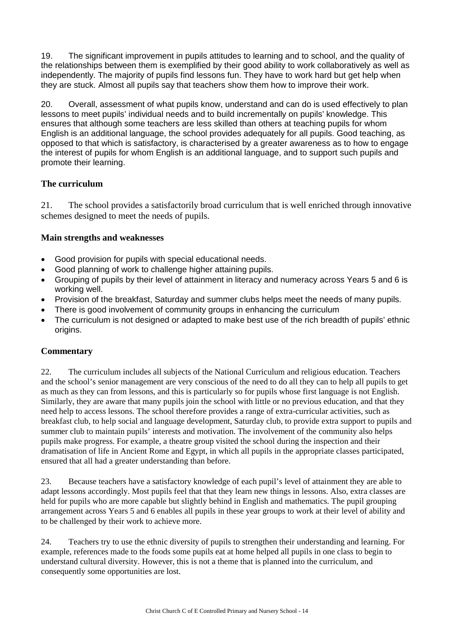19. The significant improvement in pupils attitudes to learning and to school, and the quality of the relationships between them is exemplified by their good ability to work collaboratively as well as independently. The majority of pupils find lessons fun. They have to work hard but get help when they are stuck. Almost all pupils say that teachers show them how to improve their work.

20. Overall, assessment of what pupils know, understand and can do is used effectively to plan lessons to meet pupils' individual needs and to build incrementally on pupils' knowledge. This ensures that although some teachers are less skilled than others at teaching pupils for whom English is an additional language, the school provides adequately for all pupils. Good teaching, as opposed to that which is satisfactory, is characterised by a greater awareness as to how to engage the interest of pupils for whom English is an additional language, and to support such pupils and promote their learning.

## **The curriculum**

21. The school provides a satisfactorily broad curriculum that is well enriched through innovative schemes designed to meet the needs of pupils.

#### **Main strengths and weaknesses**

- Good provision for pupils with special educational needs.
- Good planning of work to challenge higher attaining pupils.
- Grouping of pupils by their level of attainment in literacy and numeracy across Years 5 and 6 is working well.
- Provision of the breakfast, Saturday and summer clubs helps meet the needs of many pupils.
- There is good involvement of community groups in enhancing the curriculum
- The curriculum is not designed or adapted to make best use of the rich breadth of pupils' ethnic origins.

#### **Commentary**

22. The curriculum includes all subjects of the National Curriculum and religious education. Teachers and the school's senior management are very conscious of the need to do all they can to help all pupils to get as much as they can from lessons, and this is particularly so for pupils whose first language is not English. Similarly, they are aware that many pupils join the school with little or no previous education, and that they need help to access lessons. The school therefore provides a range of extra-curricular activities, such as breakfast club, to help social and language development, Saturday club, to provide extra support to pupils and summer club to maintain pupils' interests and motivation. The involvement of the community also helps pupils make progress. For example, a theatre group visited the school during the inspection and their dramatisation of life in Ancient Rome and Egypt, in which all pupils in the appropriate classes participated, ensured that all had a greater understanding than before.

23. Because teachers have a satisfactory knowledge of each pupil's level of attainment they are able to adapt lessons accordingly. Most pupils feel that that they learn new things in lessons. Also, extra classes are held for pupils who are more capable but slightly behind in English and mathematics. The pupil grouping arrangement across Years 5 and 6 enables all pupils in these year groups to work at their level of ability and to be challenged by their work to achieve more.

24. Teachers try to use the ethnic diversity of pupils to strengthen their understanding and learning. For example, references made to the foods some pupils eat at home helped all pupils in one class to begin to understand cultural diversity. However, this is not a theme that is planned into the curriculum, and consequently some opportunities are lost.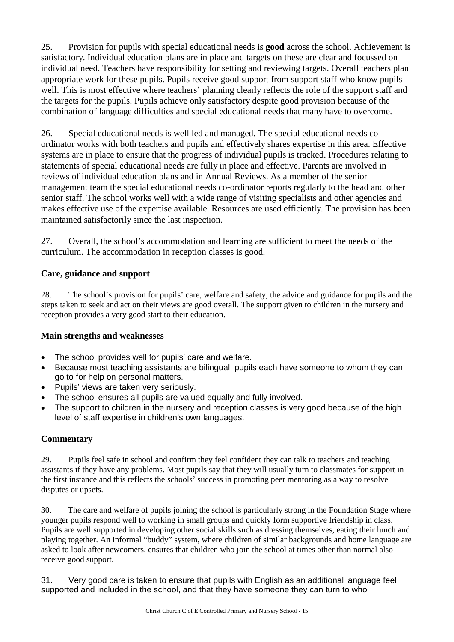25. Provision for pupils with special educational needs is **good** across the school. Achievement is satisfactory. Individual education plans are in place and targets on these are clear and focussed on individual need. Teachers have responsibility for setting and reviewing targets. Overall teachers plan appropriate work for these pupils. Pupils receive good support from support staff who know pupils well. This is most effective where teachers' planning clearly reflects the role of the support staff and the targets for the pupils. Pupils achieve only satisfactory despite good provision because of the combination of language difficulties and special educational needs that many have to overcome.

26. Special educational needs is well led and managed. The special educational needs coordinator works with both teachers and pupils and effectively shares expertise in this area. Effective systems are in place to ensure that the progress of individual pupils is tracked. Procedures relating to statements of special educational needs are fully in place and effective. Parents are involved in reviews of individual education plans and in Annual Reviews. As a member of the senior management team the special educational needs co-ordinator reports regularly to the head and other senior staff. The school works well with a wide range of visiting specialists and other agencies and makes effective use of the expertise available. Resources are used efficiently. The provision has been maintained satisfactorily since the last inspection.

27. Overall, the school's accommodation and learning are sufficient to meet the needs of the curriculum. The accommodation in reception classes is good.

#### **Care, guidance and support**

28. The school's provision for pupils' care, welfare and safety, the advice and guidance for pupils and the steps taken to seek and act on their views are good overall. The support given to children in the nursery and reception provides a very good start to their education.

#### **Main strengths and weaknesses**

- The school provides well for pupils' care and welfare.
- Because most teaching assistants are bilingual, pupils each have someone to whom they can go to for help on personal matters.
- Pupils' views are taken very seriously.
- The school ensures all pupils are valued equally and fully involved.
- The support to children in the nursery and reception classes is very good because of the high level of staff expertise in children's own languages.

## **Commentary**

29. Pupils feel safe in school and confirm they feel confident they can talk to teachers and teaching assistants if they have any problems. Most pupils say that they will usually turn to classmates for support in the first instance and this reflects the schools' success in promoting peer mentoring as a way to resolve disputes or upsets.

30. The care and welfare of pupils joining the school is particularly strong in the Foundation Stage where younger pupils respond well to working in small groups and quickly form supportive friendship in class. Pupils are well supported in developing other social skills such as dressing themselves, eating their lunch and playing together. An informal "buddy" system, where children of similar backgrounds and home language are asked to look after newcomers, ensures that children who join the school at times other than normal also receive good support.

31. Very good care is taken to ensure that pupils with English as an additional language feel supported and included in the school, and that they have someone they can turn to who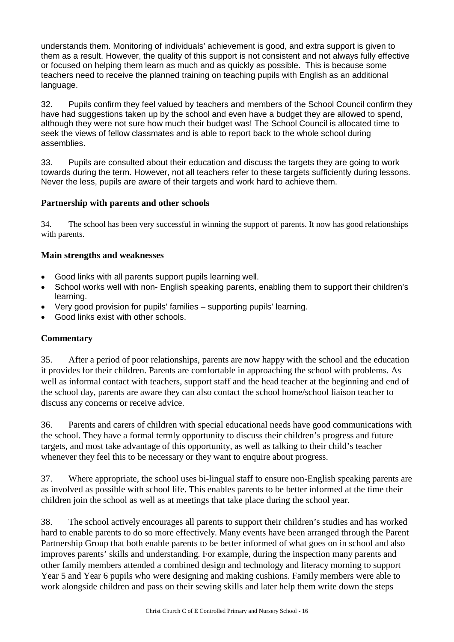understands them. Monitoring of individuals' achievement is good, and extra support is given to them as a result. However, the quality of this support is not consistent and not always fully effective or focused on helping them learn as much and as quickly as possible. This is because some teachers need to receive the planned training on teaching pupils with English as an additional language.

32. Pupils confirm they feel valued by teachers and members of the School Council confirm they have had suggestions taken up by the school and even have a budget they are allowed to spend. although they were not sure how much their budget was! The School Council is allocated time to seek the views of fellow classmates and is able to report back to the whole school during assemblies.

33. Pupils are consulted about their education and discuss the targets they are going to work towards during the term. However, not all teachers refer to these targets sufficiently during lessons. Never the less, pupils are aware of their targets and work hard to achieve them.

## **Partnership with parents and other schools**

34. The school has been very successful in winning the support of parents. It now has good relationships with parents.

#### **Main strengths and weaknesses**

- Good links with all parents support pupils learning well.
- School works well with non- English speaking parents, enabling them to support their children's learning.
- Very good provision for pupils' families supporting pupils' learning.
- Good links exist with other schools.

#### **Commentary**

35. After a period of poor relationships, parents are now happy with the school and the education it provides for their children. Parents are comfortable in approaching the school with problems. As well as informal contact with teachers, support staff and the head teacher at the beginning and end of the school day, parents are aware they can also contact the school home/school liaison teacher to discuss any concerns or receive advice.

36. Parents and carers of children with special educational needs have good communications with the school. They have a formal termly opportunity to discuss their children's progress and future targets, and most take advantage of this opportunity, as well as talking to their child's teacher whenever they feel this to be necessary or they want to enquire about progress.

37. Where appropriate, the school uses bi-lingual staff to ensure non-English speaking parents are as involved as possible with school life. This enables parents to be better informed at the time their children join the school as well as at meetings that take place during the school year.

38. The school actively encourages all parents to support their children's studies and has worked hard to enable parents to do so more effectively. Many events have been arranged through the Parent Partnership Group that both enable parents to be better informed of what goes on in school and also improves parents' skills and understanding. For example, during the inspection many parents and other family members attended a combined design and technology and literacy morning to support Year 5 and Year 6 pupils who were designing and making cushions. Family members were able to work alongside children and pass on their sewing skills and later help them write down the steps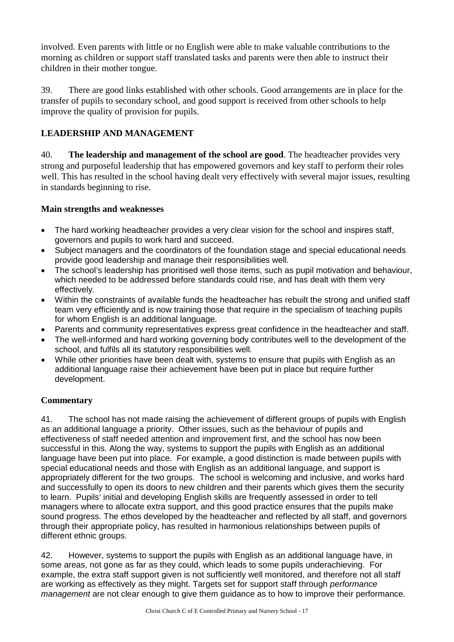involved. Even parents with little or no English were able to make valuable contributions to the morning as children or support staff translated tasks and parents were then able to instruct their children in their mother tongue.

39. There are good links established with other schools. Good arrangements are in place for the transfer of pupils to secondary school, and good support is received from other schools to help improve the quality of provision for pupils.

# **LEADERSHIP AND MANAGEMENT**

40. **The leadership and management of the school are good**. The headteacher provides very strong and purposeful leadership that has empowered governors and key staff to perform their roles well. This has resulted in the school having dealt very effectively with several major issues, resulting in standards beginning to rise.

## **Main strengths and weaknesses**

- The hard working headteacher provides a very clear vision for the school and inspires staff, governors and pupils to work hard and succeed.
- Subiect managers and the coordinators of the foundation stage and special educational needs provide good leadership and manage their responsibilities well.
- The school's leadership has prioritised well those items, such as pupil motivation and behaviour, which needed to be addressed before standards could rise, and has dealt with them very effectively.
- Within the constraints of available funds the headteacher has rebuilt the strong and unified staff team very efficiently and is now training those that require in the specialism of teaching pupils for whom English is an additional language.
- Parents and community representatives express great confidence in the headteacher and staff.
- The well-informed and hard working governing body contributes well to the development of the school, and fulfils all its statutory responsibilities well.
- While other priorities have been dealt with, systems to ensure that pupils with English as an additional language raise their achievement have been put in place but require further development.

# **Commentary**

41. The school has not made raising the achievement of different groups of pupils with English as an additional language a priority. Other issues, such as the behaviour of pupils and effectiveness of staff needed attention and improvement first, and the school has now been successful in this. Along the way, systems to support the pupils with English as an additional language have been put into place. For example, a good distinction is made between pupils with special educational needs and those with English as an additional language, and support is appropriately different for the two groups. The school is welcoming and inclusive, and works hard and successfully to open its doors to new children and their parents which gives them the security to learn. Pupils' initial and developing English skills are frequently assessed in order to tell managers where to allocate extra support, and this good practice ensures that the pupils make sound progress. The ethos developed by the headteacher and reflected by all staff, and governors through their appropriate policy, has resulted in harmonious relationships between pupils of different ethnic groups.

42. However, systems to support the pupils with English as an additional language have, in some areas, not gone as far as they could, which leads to some pupils underachieving. For example, the extra staff support given is not sufficiently well monitored, and therefore not all staff are working as effectively as they might. Targets set for support staff through *performance management* are not clear enough to give them guidance as to how to improve their performance.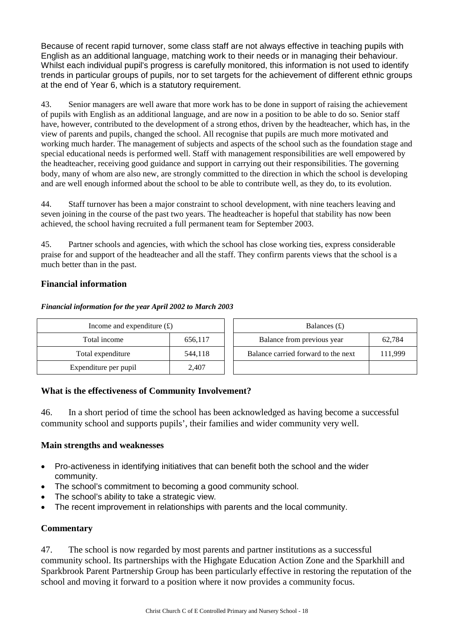Because of recent rapid turnover, some class staff are not always effective in teaching pupils with English as an additional language, matching work to their needs or in managing their behaviour. Whilst each individual pupil's progress is carefully monitored, this information is not used to identify trends in particular groups of pupils, nor to set targets for the achievement of different ethnic groups at the end of Year 6, which is a statutory requirement.

43. Senior managers are well aware that more work has to be done in support of raising the achievement of pupils with English as an additional language, and are now in a position to be able to do so. Senior staff have, however, contributed to the development of a strong ethos, driven by the headteacher, which has, in the view of parents and pupils, changed the school. All recognise that pupils are much more motivated and working much harder. The management of subjects and aspects of the school such as the foundation stage and special educational needs is performed well. Staff with management responsibilities are well empowered by the headteacher, receiving good guidance and support in carrying out their responsibilities. The governing body, many of whom are also new, are strongly committed to the direction in which the school is developing and are well enough informed about the school to be able to contribute well, as they do, to its evolution.

44. Staff turnover has been a major constraint to school development, with nine teachers leaving and seven joining in the course of the past two years. The headteacher is hopeful that stability has now been achieved, the school having recruited a full permanent team for September 2003.

45. Partner schools and agencies, with which the school has close working ties, express considerable praise for and support of the headteacher and all the staff. They confirm parents views that the school is a much better than in the past.

#### **Financial information**

#### *Financial information for the year April 2002 to March 2003*

| Income and expenditure $(\text{\pounds})$ |       |  | Balances $(f)$                      |         |
|-------------------------------------------|-------|--|-------------------------------------|---------|
| 656,117<br>Total income                   |       |  | Balance from previous year          | 62,784  |
| 544,118<br>Total expenditure              |       |  | Balance carried forward to the next | 111.999 |
| Expenditure per pupil                     | 2,407 |  |                                     |         |

#### **What is the effectiveness of Community Involvement?**

46. In a short period of time the school has been acknowledged as having become a successful community school and supports pupils', their families and wider community very well.

#### **Main strengths and weaknesses**

- Pro-activeness in identifying initiatives that can benefit both the school and the wider community.
- The school's commitment to becoming a good community school.
- The school's ability to take a strategic view.
- The recent improvement in relationships with parents and the local community.

#### **Commentary**

47. The school is now regarded by most parents and partner institutions as a successful community school. Its partnerships with the Highgate Education Action Zone and the Sparkhill and Sparkbrook Parent Partnership Group has been particularly effective in restoring the reputation of the school and moving it forward to a position where it now provides a community focus.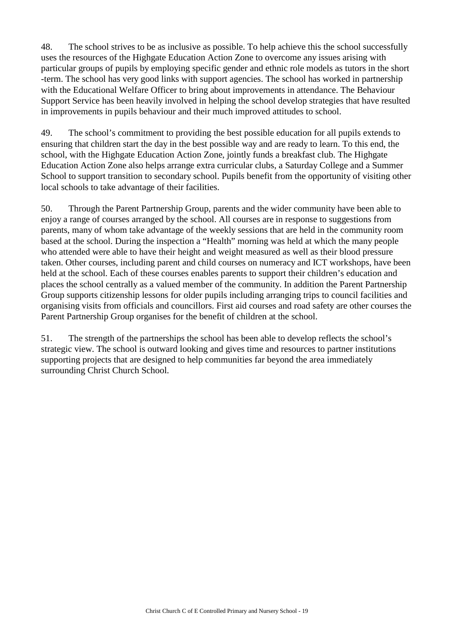48. The school strives to be as inclusive as possible. To help achieve this the school successfully uses the resources of the Highgate Education Action Zone to overcome any issues arising with particular groups of pupils by employing specific gender and ethnic role models as tutors in the short -term. The school has very good links with support agencies. The school has worked in partnership with the Educational Welfare Officer to bring about improvements in attendance. The Behaviour Support Service has been heavily involved in helping the school develop strategies that have resulted in improvements in pupils behaviour and their much improved attitudes to school.

49. The school's commitment to providing the best possible education for all pupils extends to ensuring that children start the day in the best possible way and are ready to learn. To this end, the school, with the Highgate Education Action Zone, jointly funds a breakfast club. The Highgate Education Action Zone also helps arrange extra curricular clubs, a Saturday College and a Summer School to support transition to secondary school. Pupils benefit from the opportunity of visiting other local schools to take advantage of their facilities.

50. Through the Parent Partnership Group, parents and the wider community have been able to enjoy a range of courses arranged by the school. All courses are in response to suggestions from parents, many of whom take advantage of the weekly sessions that are held in the community room based at the school. During the inspection a "Health" morning was held at which the many people who attended were able to have their height and weight measured as well as their blood pressure taken. Other courses, including parent and child courses on numeracy and ICT workshops, have been held at the school. Each of these courses enables parents to support their children's education and places the school centrally as a valued member of the community. In addition the Parent Partnership Group supports citizenship lessons for older pupils including arranging trips to council facilities and organising visits from officials and councillors. First aid courses and road safety are other courses the Parent Partnership Group organises for the benefit of children at the school.

51. The strength of the partnerships the school has been able to develop reflects the school's strategic view. The school is outward looking and gives time and resources to partner institutions supporting projects that are designed to help communities far beyond the area immediately surrounding Christ Church School.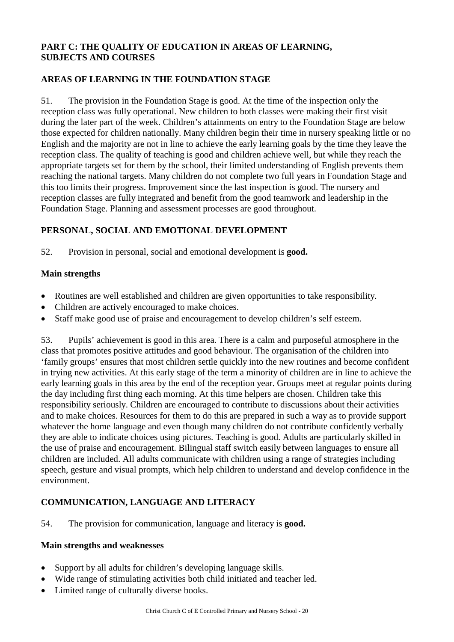## **PART C: THE QUALITY OF EDUCATION IN AREAS OF LEARNING, SUBJECTS AND COURSES**

## **AREAS OF LEARNING IN THE FOUNDATION STAGE**

51. The provision in the Foundation Stage is good. At the time of the inspection only the reception class was fully operational. New children to both classes were making their first visit during the later part of the week. Children's attainments on entry to the Foundation Stage are below those expected for children nationally. Many children begin their time in nursery speaking little or no English and the majority are not in line to achieve the early learning goals by the time they leave the reception class. The quality of teaching is good and children achieve well, but while they reach the appropriate targets set for them by the school, their limited understanding of English prevents them reaching the national targets. Many children do not complete two full years in Foundation Stage and this too limits their progress. Improvement since the last inspection is good. The nursery and reception classes are fully integrated and benefit from the good teamwork and leadership in the Foundation Stage. Planning and assessment processes are good throughout.

#### **PERSONAL, SOCIAL AND EMOTIONAL DEVELOPMENT**

52. Provision in personal, social and emotional development is **good.** 

#### **Main strengths**

- Routines are well established and children are given opportunities to take responsibility.
- Children are actively encouraged to make choices.
- Staff make good use of praise and encouragement to develop children's self esteem.

53. Pupils' achievement is good in this area. There is a calm and purposeful atmosphere in the class that promotes positive attitudes and good behaviour. The organisation of the children into 'family groups' ensures that most children settle quickly into the new routines and become confident in trying new activities. At this early stage of the term a minority of children are in line to achieve the early learning goals in this area by the end of the reception year. Groups meet at regular points during the day including first thing each morning. At this time helpers are chosen. Children take this responsibility seriously. Children are encouraged to contribute to discussions about their activities and to make choices. Resources for them to do this are prepared in such a way as to provide support whatever the home language and even though many children do not contribute confidently verbally they are able to indicate choices using pictures. Teaching is good. Adults are particularly skilled in the use of praise and encouragement. Bilingual staff switch easily between languages to ensure all children are included. All adults communicate with children using a range of strategies including speech, gesture and visual prompts, which help children to understand and develop confidence in the environment.

## **COMMUNICATION, LANGUAGE AND LITERACY**

54. The provision for communication, language and literacy is **good.**

#### **Main strengths and weaknesses**

- Support by all adults for children's developing language skills.
- Wide range of stimulating activities both child initiated and teacher led.
- Limited range of culturally diverse books.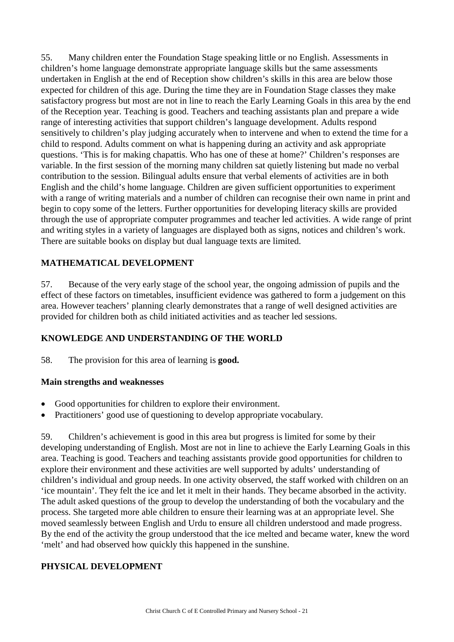55. Many children enter the Foundation Stage speaking little or no English. Assessments in children's home language demonstrate appropriate language skills but the same assessments undertaken in English at the end of Reception show children's skills in this area are below those expected for children of this age. During the time they are in Foundation Stage classes they make satisfactory progress but most are not in line to reach the Early Learning Goals in this area by the end of the Reception year. Teaching is good. Teachers and teaching assistants plan and prepare a wide range of interesting activities that support children's language development. Adults respond sensitively to children's play judging accurately when to intervene and when to extend the time for a child to respond. Adults comment on what is happening during an activity and ask appropriate questions. 'This is for making chapattis. Who has one of these at home?' Children's responses are variable. In the first session of the morning many children sat quietly listening but made no verbal contribution to the session. Bilingual adults ensure that verbal elements of activities are in both English and the child's home language. Children are given sufficient opportunities to experiment with a range of writing materials and a number of children can recognise their own name in print and begin to copy some of the letters. Further opportunities for developing literacy skills are provided through the use of appropriate computer programmes and teacher led activities. A wide range of print and writing styles in a variety of languages are displayed both as signs, notices and children's work. There are suitable books on display but dual language texts are limited.

## **MATHEMATICAL DEVELOPMENT**

57. Because of the very early stage of the school year, the ongoing admission of pupils and the effect of these factors on timetables, insufficient evidence was gathered to form a judgement on this area. However teachers' planning clearly demonstrates that a range of well designed activities are provided for children both as child initiated activities and as teacher led sessions.

#### **KNOWLEDGE AND UNDERSTANDING OF THE WORLD**

58. The provision for this area of learning is **good.**

#### **Main strengths and weaknesses**

- Good opportunities for children to explore their environment.
- Practitioners' good use of questioning to develop appropriate vocabulary.

59. Children's achievement is good in this area but progress is limited for some by their developing understanding of English. Most are not in line to achieve the Early Learning Goals in this area. Teaching is good. Teachers and teaching assistants provide good opportunities for children to explore their environment and these activities are well supported by adults' understanding of children's individual and group needs. In one activity observed, the staff worked with children on an 'ice mountain'. They felt the ice and let it melt in their hands. They became absorbed in the activity. The adult asked questions of the group to develop the understanding of both the vocabulary and the process. She targeted more able children to ensure their learning was at an appropriate level. She moved seamlessly between English and Urdu to ensure all children understood and made progress. By the end of the activity the group understood that the ice melted and became water, knew the word 'melt' and had observed how quickly this happened in the sunshine.

#### **PHYSICAL DEVELOPMENT**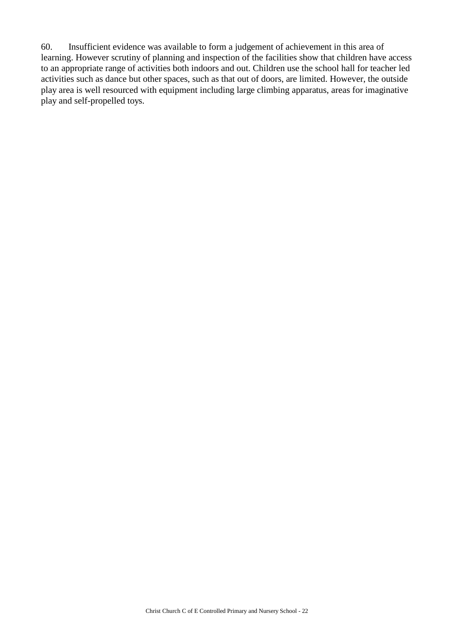60. Insufficient evidence was available to form a judgement of achievement in this area of learning. However scrutiny of planning and inspection of the facilities show that children have access to an appropriate range of activities both indoors and out. Children use the school hall for teacher led activities such as dance but other spaces, such as that out of doors, are limited. However, the outside play area is well resourced with equipment including large climbing apparatus, areas for imaginative play and self-propelled toys.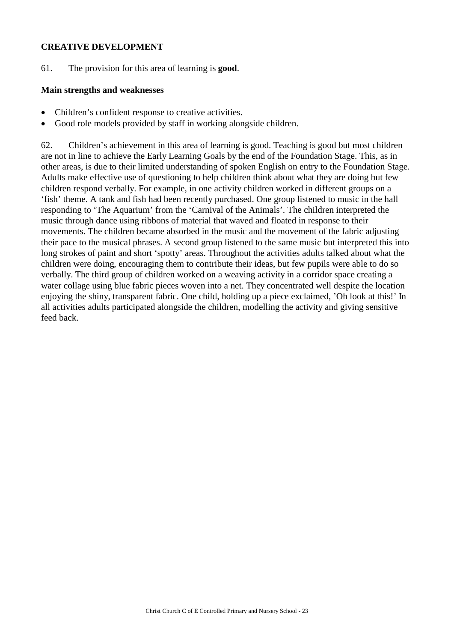#### **CREATIVE DEVELOPMENT**

61. The provision for this area of learning is **good**.

#### **Main strengths and weaknesses**

- Children's confident response to creative activities.
- Good role models provided by staff in working alongside children.

62. Children's achievement in this area of learning is good. Teaching is good but most children are not in line to achieve the Early Learning Goals by the end of the Foundation Stage. This, as in other areas, is due to their limited understanding of spoken English on entry to the Foundation Stage. Adults make effective use of questioning to help children think about what they are doing but few children respond verbally. For example, in one activity children worked in different groups on a 'fish' theme. A tank and fish had been recently purchased. One group listened to music in the hall responding to 'The Aquarium' from the 'Carnival of the Animals'. The children interpreted the music through dance using ribbons of material that waved and floated in response to their movements. The children became absorbed in the music and the movement of the fabric adjusting their pace to the musical phrases. A second group listened to the same music but interpreted this into long strokes of paint and short 'spotty' areas. Throughout the activities adults talked about what the children were doing, encouraging them to contribute their ideas, but few pupils were able to do so verbally. The third group of children worked on a weaving activity in a corridor space creating a water collage using blue fabric pieces woven into a net. They concentrated well despite the location enjoying the shiny, transparent fabric. One child, holding up a piece exclaimed, 'Oh look at this!' In all activities adults participated alongside the children, modelling the activity and giving sensitive feed back.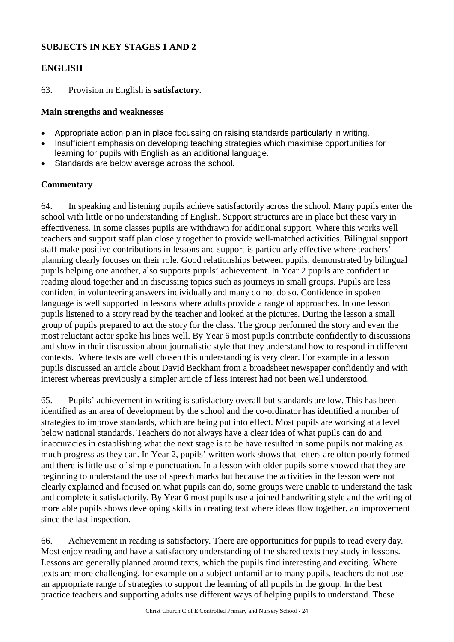#### **SUBJECTS IN KEY STAGES 1 AND 2**

#### **ENGLISH**

63. Provision in English is **satisfactory**.

#### **Main strengths and weaknesses**

- Appropriate action plan in place focussing on raising standards particularly in writing.
- Insufficient emphasis on developing teaching strategies which maximise opportunities for learning for pupils with English as an additional language.
- Standards are below average across the school.

#### **Commentary**

64. In speaking and listening pupils achieve satisfactorily across the school. Many pupils enter the school with little or no understanding of English. Support structures are in place but these vary in effectiveness. In some classes pupils are withdrawn for additional support. Where this works well teachers and support staff plan closely together to provide well-matched activities. Bilingual support staff make positive contributions in lessons and support is particularly effective where teachers' planning clearly focuses on their role. Good relationships between pupils, demonstrated by bilingual pupils helping one another, also supports pupils' achievement. In Year 2 pupils are confident in reading aloud together and in discussing topics such as journeys in small groups. Pupils are less confident in volunteering answers individually and many do not do so. Confidence in spoken language is well supported in lessons where adults provide a range of approaches. In one lesson pupils listened to a story read by the teacher and looked at the pictures. During the lesson a small group of pupils prepared to act the story for the class. The group performed the story and even the most reluctant actor spoke his lines well. By Year 6 most pupils contribute confidently to discussions and show in their discussion about journalistic style that they understand how to respond in different contexts. Where texts are well chosen this understanding is very clear. For example in a lesson pupils discussed an article about David Beckham from a broadsheet newspaper confidently and with interest whereas previously a simpler article of less interest had not been well understood.

65. Pupils' achievement in writing is satisfactory overall but standards are low. This has been identified as an area of development by the school and the co-ordinator has identified a number of strategies to improve standards, which are being put into effect. Most pupils are working at a level below national standards. Teachers do not always have a clear idea of what pupils can do and inaccuracies in establishing what the next stage is to be have resulted in some pupils not making as much progress as they can. In Year 2, pupils' written work shows that letters are often poorly formed and there is little use of simple punctuation. In a lesson with older pupils some showed that they are beginning to understand the use of speech marks but because the activities in the lesson were not clearly explained and focused on what pupils can do, some groups were unable to understand the task and complete it satisfactorily. By Year 6 most pupils use a joined handwriting style and the writing of more able pupils shows developing skills in creating text where ideas flow together, an improvement since the last inspection.

66. Achievement in reading is satisfactory. There are opportunities for pupils to read every day. Most enjoy reading and have a satisfactory understanding of the shared texts they study in lessons. Lessons are generally planned around texts, which the pupils find interesting and exciting. Where texts are more challenging, for example on a subject unfamiliar to many pupils, teachers do not use an appropriate range of strategies to support the learning of all pupils in the group. In the best practice teachers and supporting adults use different ways of helping pupils to understand. These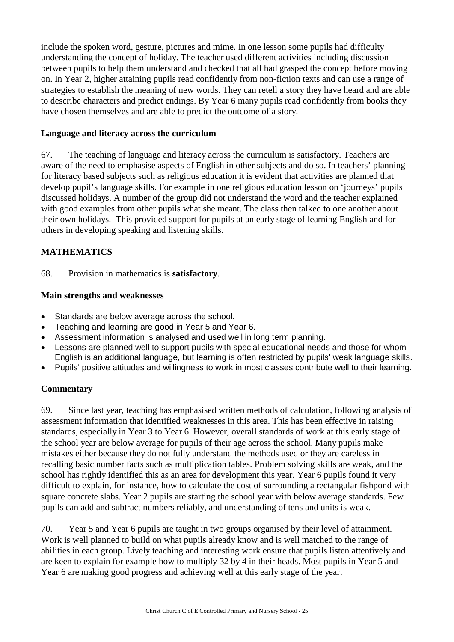include the spoken word, gesture, pictures and mime. In one lesson some pupils had difficulty understanding the concept of holiday. The teacher used different activities including discussion between pupils to help them understand and checked that all had grasped the concept before moving on. In Year 2, higher attaining pupils read confidently from non-fiction texts and can use a range of strategies to establish the meaning of new words. They can retell a story they have heard and are able to describe characters and predict endings. By Year 6 many pupils read confidently from books they have chosen themselves and are able to predict the outcome of a story.

#### **Language and literacy across the curriculum**

67. The teaching of language and literacy across the curriculum is satisfactory. Teachers are aware of the need to emphasise aspects of English in other subjects and do so. In teachers' planning for literacy based subjects such as religious education it is evident that activities are planned that develop pupil's language skills. For example in one religious education lesson on 'journeys' pupils discussed holidays. A number of the group did not understand the word and the teacher explained with good examples from other pupils what she meant. The class then talked to one another about their own holidays. This provided support for pupils at an early stage of learning English and for others in developing speaking and listening skills.

#### **MATHEMATICS**

68. Provision in mathematics is **satisfactory**.

#### **Main strengths and weaknesses**

- Standards are below average across the school.
- Teaching and learning are good in Year 5 and Year 6.
- Assessment information is analysed and used well in long term planning.
- Lessons are planned well to support pupils with special educational needs and those for whom English is an additional language, but learning is often restricted by pupils' weak language skills.
- Pupils' positive attitudes and willingness to work in most classes contribute well to their learning.

#### **Commentary**

69. Since last year, teaching has emphasised written methods of calculation, following analysis of assessment information that identified weaknesses in this area. This has been effective in raising standards, especially in Year 3 to Year 6. However, overall standards of work at this early stage of the school year are below average for pupils of their age across the school. Many pupils make mistakes either because they do not fully understand the methods used or they are careless in recalling basic number facts such as multiplication tables. Problem solving skills are weak, and the school has rightly identified this as an area for development this year. Year 6 pupils found it very difficult to explain, for instance, how to calculate the cost of surrounding a rectangular fishpond with square concrete slabs. Year 2 pupils are starting the school year with below average standards. Few pupils can add and subtract numbers reliably, and understanding of tens and units is weak.

70. Year 5 and Year 6 pupils are taught in two groups organised by their level of attainment. Work is well planned to build on what pupils already know and is well matched to the range of abilities in each group. Lively teaching and interesting work ensure that pupils listen attentively and are keen to explain for example how to multiply 32 by 4 in their heads. Most pupils in Year 5 and Year 6 are making good progress and achieving well at this early stage of the year.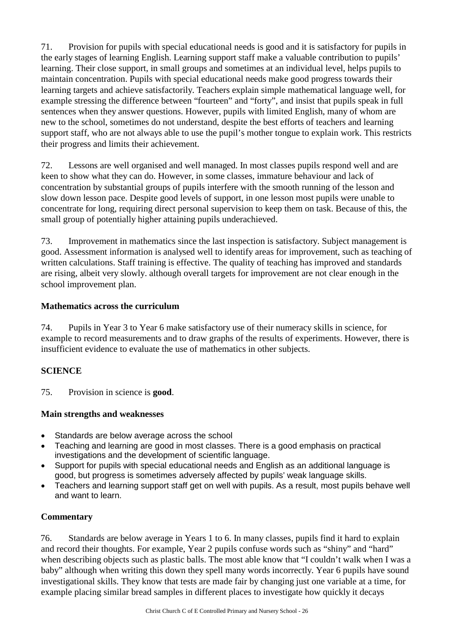71. Provision for pupils with special educational needs is good and it is satisfactory for pupils in the early stages of learning English. Learning support staff make a valuable contribution to pupils' learning. Their close support, in small groups and sometimes at an individual level, helps pupils to maintain concentration. Pupils with special educational needs make good progress towards their learning targets and achieve satisfactorily. Teachers explain simple mathematical language well, for example stressing the difference between "fourteen" and "forty", and insist that pupils speak in full sentences when they answer questions. However, pupils with limited English, many of whom are new to the school, sometimes do not understand, despite the best efforts of teachers and learning support staff, who are not always able to use the pupil's mother tongue to explain work. This restricts their progress and limits their achievement.

72. Lessons are well organised and well managed. In most classes pupils respond well and are keen to show what they can do. However, in some classes, immature behaviour and lack of concentration by substantial groups of pupils interfere with the smooth running of the lesson and slow down lesson pace. Despite good levels of support, in one lesson most pupils were unable to concentrate for long, requiring direct personal supervision to keep them on task. Because of this, the small group of potentially higher attaining pupils underachieved.

73. Improvement in mathematics since the last inspection is satisfactory. Subject management is good. Assessment information is analysed well to identify areas for improvement, such as teaching of written calculations. Staff training is effective. The quality of teaching has improved and standards are rising, albeit very slowly. although overall targets for improvement are not clear enough in the school improvement plan.

#### **Mathematics across the curriculum**

74. Pupils in Year 3 to Year 6 make satisfactory use of their numeracy skills in science, for example to record measurements and to draw graphs of the results of experiments. However, there is insufficient evidence to evaluate the use of mathematics in other subjects.

#### **SCIENCE**

75. Provision in science is **good**.

#### **Main strengths and weaknesses**

- Standards are below average across the school
- Teaching and learning are good in most classes. There is a good emphasis on practical investigations and the development of scientific language.
- Support for pupils with special educational needs and English as an additional language is good, but progress is sometimes adversely affected by pupils' weak language skills.
- Teachers and learning support staff get on well with pupils. As a result, most pupils behave well and want to learn.

#### **Commentary**

76. Standards are below average in Years 1 to 6. In many classes, pupils find it hard to explain and record their thoughts. For example, Year 2 pupils confuse words such as "shiny" and "hard" when describing objects such as plastic balls. The most able know that "I couldn't walk when I was a baby" although when writing this down they spell many words incorrectly. Year 6 pupils have sound investigational skills. They know that tests are made fair by changing just one variable at a time, for example placing similar bread samples in different places to investigate how quickly it decays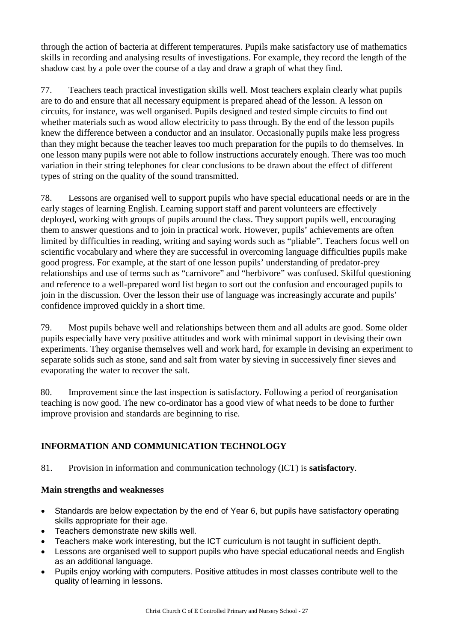through the action of bacteria at different temperatures. Pupils make satisfactory use of mathematics skills in recording and analysing results of investigations. For example, they record the length of the shadow cast by a pole over the course of a day and draw a graph of what they find.

77. Teachers teach practical investigation skills well. Most teachers explain clearly what pupils are to do and ensure that all necessary equipment is prepared ahead of the lesson. A lesson on circuits, for instance, was well organised. Pupils designed and tested simple circuits to find out whether materials such as wood allow electricity to pass through. By the end of the lesson pupils knew the difference between a conductor and an insulator. Occasionally pupils make less progress than they might because the teacher leaves too much preparation for the pupils to do themselves. In one lesson many pupils were not able to follow instructions accurately enough. There was too much variation in their string telephones for clear conclusions to be drawn about the effect of different types of string on the quality of the sound transmitted.

78. Lessons are organised well to support pupils who have special educational needs or are in the early stages of learning English. Learning support staff and parent volunteers are effectively deployed, working with groups of pupils around the class. They support pupils well, encouraging them to answer questions and to join in practical work. However, pupils' achievements are often limited by difficulties in reading, writing and saying words such as "pliable". Teachers focus well on scientific vocabulary and where they are successful in overcoming language difficulties pupils make good progress. For example, at the start of one lesson pupils' understanding of predator-prey relationships and use of terms such as "carnivore" and "herbivore" was confused. Skilful questioning and reference to a well-prepared word list began to sort out the confusion and encouraged pupils to join in the discussion. Over the lesson their use of language was increasingly accurate and pupils' confidence improved quickly in a short time.

79. Most pupils behave well and relationships between them and all adults are good. Some older pupils especially have very positive attitudes and work with minimal support in devising their own experiments. They organise themselves well and work hard, for example in devising an experiment to separate solids such as stone, sand and salt from water by sieving in successively finer sieves and evaporating the water to recover the salt.

80. Improvement since the last inspection is satisfactory. Following a period of reorganisation teaching is now good. The new co-ordinator has a good view of what needs to be done to further improve provision and standards are beginning to rise.

# **INFORMATION AND COMMUNICATION TECHNOLOGY**

81. Provision in information and communication technology (ICT) is **satisfactory**.

## **Main strengths and weaknesses**

- Standards are below expectation by the end of Year 6, but pupils have satisfactory operating skills appropriate for their age.
- Teachers demonstrate new skills well.
- Teachers make work interesting, but the ICT curriculum is not taught in sufficient depth.
- Lessons are organised well to support pupils who have special educational needs and English as an additional language.
- Pupils enjoy working with computers. Positive attitudes in most classes contribute well to the quality of learning in lessons.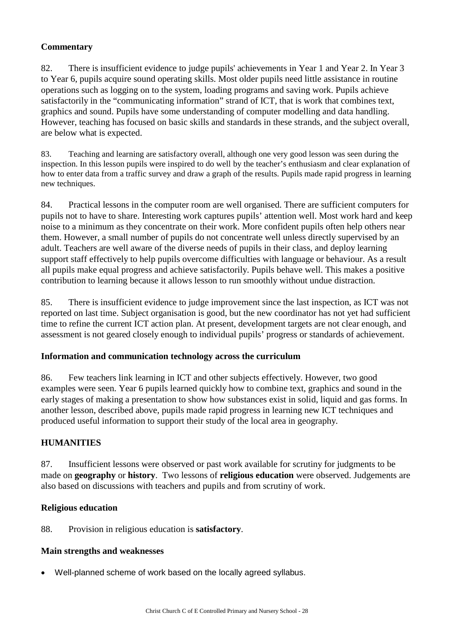## **Commentary**

82. There is insufficient evidence to judge pupils' achievements in Year 1 and Year 2. In Year 3 to Year 6, pupils acquire sound operating skills. Most older pupils need little assistance in routine operations such as logging on to the system, loading programs and saving work. Pupils achieve satisfactorily in the "communicating information" strand of ICT, that is work that combines text, graphics and sound. Pupils have some understanding of computer modelling and data handling. However, teaching has focused on basic skills and standards in these strands, and the subject overall, are below what is expected.

83. Teaching and learning are satisfactory overall, although one very good lesson was seen during the inspection. In this lesson pupils were inspired to do well by the teacher's enthusiasm and clear explanation of how to enter data from a traffic survey and draw a graph of the results. Pupils made rapid progress in learning new techniques.

84. Practical lessons in the computer room are well organised. There are sufficient computers for pupils not to have to share. Interesting work captures pupils' attention well. Most work hard and keep noise to a minimum as they concentrate on their work. More confident pupils often help others near them. However, a small number of pupils do not concentrate well unless directly supervised by an adult. Teachers are well aware of the diverse needs of pupils in their class, and deploy learning support staff effectively to help pupils overcome difficulties with language or behaviour. As a result all pupils make equal progress and achieve satisfactorily. Pupils behave well. This makes a positive contribution to learning because it allows lesson to run smoothly without undue distraction.

85. There is insufficient evidence to judge improvement since the last inspection, as ICT was not reported on last time. Subject organisation is good, but the new coordinator has not yet had sufficient time to refine the current ICT action plan. At present, development targets are not clear enough, and assessment is not geared closely enough to individual pupils' progress or standards of achievement.

#### **Information and communication technology across the curriculum**

86. Few teachers link learning in ICT and other subjects effectively. However, two good examples were seen. Year 6 pupils learned quickly how to combine text, graphics and sound in the early stages of making a presentation to show how substances exist in solid, liquid and gas forms. In another lesson, described above, pupils made rapid progress in learning new ICT techniques and produced useful information to support their study of the local area in geography.

#### **HUMANITIES**

87. Insufficient lessons were observed or past work available for scrutiny for judgments to be made on **geography** or **history**. Two lessons of **religious education** were observed. Judgements are also based on discussions with teachers and pupils and from scrutiny of work.

#### **Religious education**

88. Provision in religious education is **satisfactory**.

#### **Main strengths and weaknesses**

Well-planned scheme of work based on the locally agreed syllabus.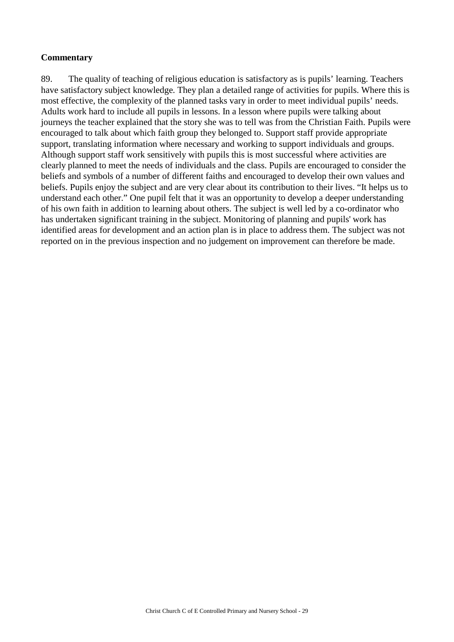#### **Commentary**

89. The quality of teaching of religious education is satisfactory as is pupils' learning. Teachers have satisfactory subject knowledge. They plan a detailed range of activities for pupils. Where this is most effective, the complexity of the planned tasks vary in order to meet individual pupils' needs. Adults work hard to include all pupils in lessons. In a lesson where pupils were talking about journeys the teacher explained that the story she was to tell was from the Christian Faith. Pupils were encouraged to talk about which faith group they belonged to. Support staff provide appropriate support, translating information where necessary and working to support individuals and groups. Although support staff work sensitively with pupils this is most successful where activities are clearly planned to meet the needs of individuals and the class. Pupils are encouraged to consider the beliefs and symbols of a number of different faiths and encouraged to develop their own values and beliefs. Pupils enjoy the subject and are very clear about its contribution to their lives. "It helps us to understand each other." One pupil felt that it was an opportunity to develop a deeper understanding of his own faith in addition to learning about others. The subject is well led by a co-ordinator who has undertaken significant training in the subject. Monitoring of planning and pupils' work has identified areas for development and an action plan is in place to address them. The subject was not reported on in the previous inspection and no judgement on improvement can therefore be made.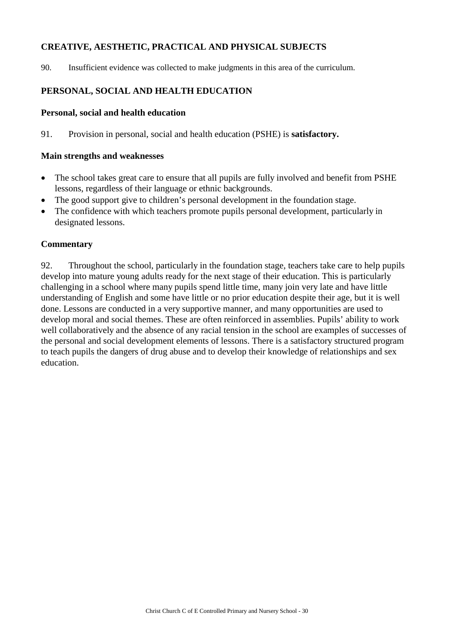## **CREATIVE, AESTHETIC, PRACTICAL AND PHYSICAL SUBJECTS**

90. Insufficient evidence was collected to make judgments in this area of the curriculum.

## **PERSONAL, SOCIAL AND HEALTH EDUCATION**

#### **Personal, social and health education**

91. Provision in personal, social and health education (PSHE) is **satisfactory.**

#### **Main strengths and weaknesses**

- The school takes great care to ensure that all pupils are fully involved and benefit from PSHE lessons, regardless of their language or ethnic backgrounds.
- The good support give to children's personal development in the foundation stage.
- The confidence with which teachers promote pupils personal development, particularly in designated lessons.

#### **Commentary**

92. Throughout the school, particularly in the foundation stage, teachers take care to help pupils develop into mature young adults ready for the next stage of their education. This is particularly challenging in a school where many pupils spend little time, many join very late and have little understanding of English and some have little or no prior education despite their age, but it is well done. Lessons are conducted in a very supportive manner, and many opportunities are used to develop moral and social themes. These are often reinforced in assemblies. Pupils' ability to work well collaboratively and the absence of any racial tension in the school are examples of successes of the personal and social development elements of lessons. There is a satisfactory structured program to teach pupils the dangers of drug abuse and to develop their knowledge of relationships and sex education.